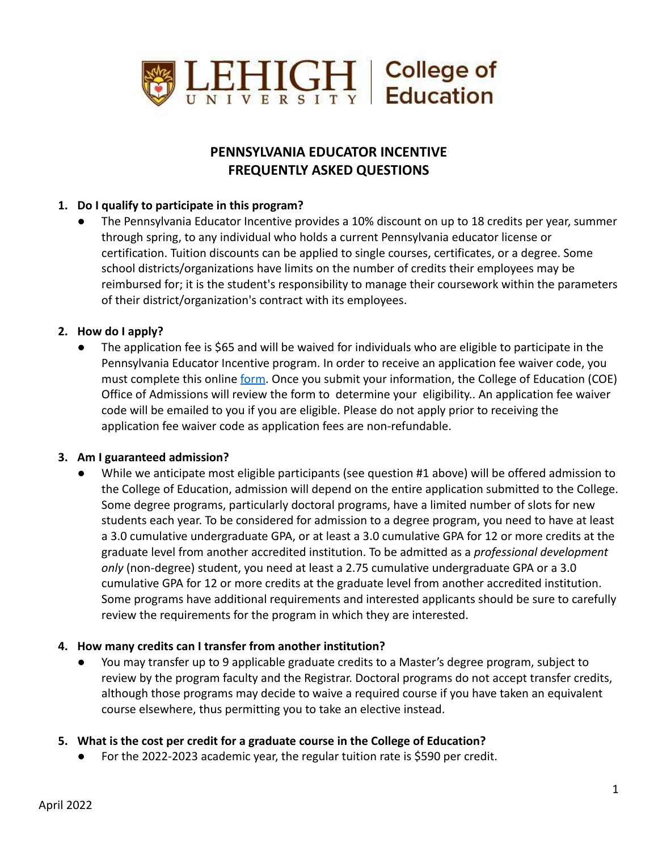

# **PENNSYLVANIA EDUCATOR INCENTIVE FREQUENTLY ASKED QUESTIONS**

## **1. Do I qualify to participate in this program?**

The Pennsylvania Educator Incentive provides a 10% discount on up to 18 credits per year, summer through spring, to any individual who holds a current Pennsylvania educator license or certification. Tuition discounts can be applied to single courses, certificates, or a degree. Some school districts/organizations have limits on the number of credits their employees may be reimbursed for; it is the student's responsibility to manage their coursework within the parameters of their district/organization's contract with its employees.

## **2. How do I apply?**

The application fee is \$65 and will be waived for individuals who are eligible to participate in the Pennsylvania Educator Incentive program. In order to receive an application fee waiver code, you must complete this online [form](https://lehigh.co1.qualtrics.com/jfe/form/SV_cD4uiB2b6wglIh0). Once you submit your information, the College of Education (COE) Office of Admissions will review the form to determine your eligibility.. An application fee waiver code will be emailed to you if you are eligible. Please do not apply prior to receiving the application fee waiver code as application fees are non-refundable.

#### **3. Am I guaranteed admission?**

While we anticipate most eligible participants (see question #1 above) will be offered admission to the College of Education, admission will depend on the entire application submitted to the College. Some degree programs, particularly doctoral programs, have a limited number of slots for new students each year. To be considered for admission to a degree program, you need to have at least a 3.0 cumulative undergraduate GPA, or at least a 3.0 cumulative GPA for 12 or more credits at the graduate level from another accredited institution. To be admitted as a *professional development only* (non-degree) student, you need at least a 2.75 cumulative undergraduate GPA or a 3.0 cumulative GPA for 12 or more credits at the graduate level from another accredited institution. Some programs have additional requirements and interested applicants should be sure to carefully review the requirements for the program in which they are interested.

## **4. How many credits can I transfer from another institution?**

You may transfer up to 9 applicable graduate credits to a Master's degree program, subject to review by the program faculty and the Registrar. Doctoral programs do not accept transfer credits, although those programs may decide to waive a required course if you have taken an equivalent course elsewhere, thus permitting you to take an elective instead.

## **5. What is the cost per credit for a graduate course in the College of Education?**

For the 2022-2023 academic year, the regular tuition rate is \$590 per credit.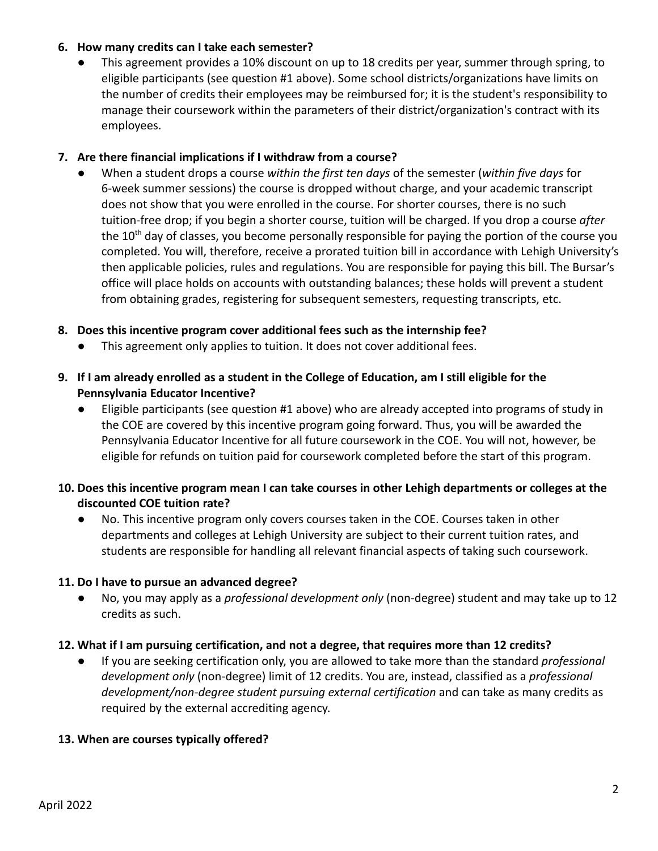## **6. How many credits can I take each semester?**

This agreement provides a 10% discount on up to 18 credits per year, summer through spring, to eligible participants (see question #1 above). Some school districts/organizations have limits on the number of credits their employees may be reimbursed for; it is the student's responsibility to manage their coursework within the parameters of their district/organization's contract with its employees.

## **7. Are there financial implications if I withdraw from a course?**

● When a student drops a course *within the first ten days* of the semester (*within five days* for 6-week summer sessions) the course is dropped without charge, and your academic transcript does not show that you were enrolled in the course. For shorter courses, there is no such tuition-free drop; if you begin a shorter course, tuition will be charged. If you drop a course *after* the  $10<sup>th</sup>$  day of classes, you become personally responsible for paying the portion of the course you completed. You will, therefore, receive a prorated tuition bill in accordance with Lehigh University's then applicable policies, rules and regulations. You are responsible for paying this bill. The Bursar's office will place holds on accounts with outstanding balances; these holds will prevent a student from obtaining grades, registering for subsequent semesters, requesting transcripts, etc.

## **8. Does this incentive program cover additional fees such as the internship fee?**

- This agreement only applies to tuition. It does not cover additional fees.
- **9. If I am already enrolled as a student in the College of Education, am I still eligible for the Pennsylvania Educator Incentive?**
	- Eligible participants (see question #1 above) who are already accepted into programs of study in the COE are covered by this incentive program going forward. Thus, you will be awarded the Pennsylvania Educator Incentive for all future coursework in the COE. You will not, however, be eligible for refunds on tuition paid for coursework completed before the start of this program.
- **10. Does this incentive program mean I can take courses in other Lehigh departments or colleges at the discounted COE tuition rate?**
	- No. This incentive program only covers courses taken in the COE. Courses taken in other departments and colleges at Lehigh University are subject to their current tuition rates, and students are responsible for handling all relevant financial aspects of taking such coursework.

## **11. Do I have to pursue an advanced degree?**

No, you may apply as a *professional development only* (non-degree) student and may take up to 12 credits as such.

## **12. What if I am pursuing certification, and not a degree, that requires more than 12 credits?**

If you are seeking certification only, you are allowed to take more than the standard *professional development only* (non-degree) limit of 12 credits. You are, instead, classified as a *professional development/non-degree student pursuing external certification* and can take as many credits as required by the external accrediting agency.

## **13. When are courses typically offered?**